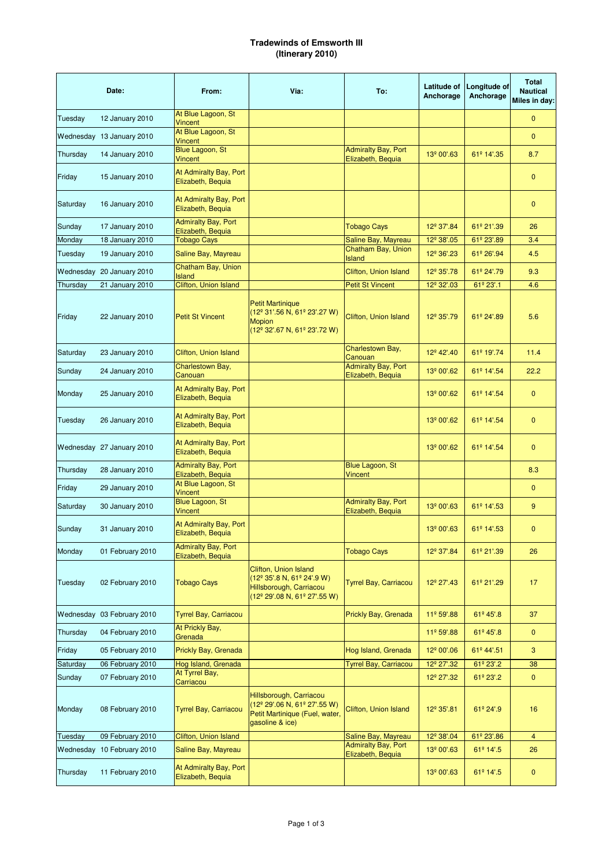## **Tradewinds of Emsworth III (Itinerary 2010)**

|           | Date:                      | From:                                           | Via:                                                                                                                                                   | To:                                             | Latitude of<br>Anchorage | Longitude of<br>Anchorage | <b>Total</b><br><b>Nautical</b><br>Miles in day: |
|-----------|----------------------------|-------------------------------------------------|--------------------------------------------------------------------------------------------------------------------------------------------------------|-------------------------------------------------|--------------------------|---------------------------|--------------------------------------------------|
| Tuesday   | 12 January 2010            | At Blue Lagoon, St<br><b>Vincent</b>            |                                                                                                                                                        |                                                 |                          |                           | $\mathbf{0}$                                     |
|           | Wednesday 13 January 2010  | At Blue Lagoon, St<br><b>Vincent</b>            |                                                                                                                                                        |                                                 |                          |                           | $\mathbf{0}$                                     |
| Thursday  | 14 January 2010            | Blue Lagoon, St<br>Vincent                      |                                                                                                                                                        | <b>Admiralty Bay, Port</b><br>Elizabeth, Bequia | 13º 00'.63               | 61º 14'.35                | 8.7                                              |
| Friday    | 15 January 2010            | At Admiralty Bay, Port<br>Elizabeth, Bequia     |                                                                                                                                                        |                                                 |                          |                           | $\mathbf{0}$                                     |
| Saturday  | 16 January 2010            | At Admiralty Bay, Port<br>Elizabeth, Bequia     |                                                                                                                                                        |                                                 |                          |                           | $\mathbf{0}$                                     |
| Sunday    | 17 January 2010            | <b>Admiralty Bay, Port</b><br>Elizabeth, Bequia |                                                                                                                                                        | <b>Tobago Cays</b>                              | 12 <sup>º</sup> 37'.84   | 61º 21'.39                | 26                                               |
| Monday    | 18 January 2010            | <b>Tobago Cays</b>                              |                                                                                                                                                        | Saline Bay, Mayreau                             | 12 <sup>°</sup> 38'.05   | 61º 23'.89                | 3.4                                              |
| Tuesday   | 19 January 2010            | Saline Bay, Mayreau                             |                                                                                                                                                        | Chatham Bay, Union<br><b>Island</b>             | 12 <sup>°</sup> 36'.23   | 61º 26'.94                | 4.5                                              |
|           | Wednesday 20 January 2010  | Chatham Bay, Union                              |                                                                                                                                                        | Clifton, Union Island                           | 12 <sup>°</sup> 35'.78   | 61º 24'.79                | 9.3                                              |
| Thursday  | 21 January 2010            | <b>Island</b><br><b>Clifton, Union Island</b>   |                                                                                                                                                        | <b>Petit St Vincent</b>                         | 12 <sup>°</sup> 32'.03   | 61º 23'.1                 | 4.6                                              |
| Friday    | 22 January 2010            | <b>Petit St Vincent</b>                         | <b>Petit Martinique</b><br>(12º 31'.56 N, 61º 23'.27 W)<br><b>Mopion</b><br>(12 <sup>°</sup> 32'.67 N, 61 <sup>°</sup> 23'.72 W)                       | Clifton, Union Island                           | 12 <sup>°</sup> 35'.79   | 61º 24'.89                | 5.6                                              |
| Saturday  | 23 January 2010            | Clifton, Union Island                           |                                                                                                                                                        | Charlestown Bay,<br>Canouan                     | 12º 42'.40               | 61º 19'.74                | 11.4                                             |
| Sunday    | 24 January 2010            | Charlestown Bay,<br>Canouan                     |                                                                                                                                                        | <b>Admiralty Bay, Port</b><br>Elizabeth, Bequia | 13º 00'.62               | 61º 14'.54                | 22.2                                             |
| Monday    | 25 January 2010            | At Admiralty Bay, Port<br>Elizabeth, Bequia     |                                                                                                                                                        |                                                 | 13 <sup>º</sup> 00'.62   | 61º 14'.54                | $\mathbf{0}$                                     |
| Tuesday   | 26 January 2010            | At Admiralty Bay, Port<br>Elizabeth, Bequia     |                                                                                                                                                        |                                                 | 13º 00'.62               | 61º 14'.54                | $\mathbf{0}$                                     |
|           | Wednesday 27 January 2010  | At Admiralty Bay, Port<br>Elizabeth, Bequia     |                                                                                                                                                        |                                                 | 13 <sup>º</sup> 00'.62   | 61º 14'.54                | $\mathbf{0}$                                     |
| Thursday  | 28 January 2010            | <b>Admiralty Bay, Port</b><br>Elizabeth, Bequia |                                                                                                                                                        | <b>Blue Lagoon, St</b><br>Vincent               |                          |                           | 8.3                                              |
| Friday    | 29 January 2010            | At Blue Lagoon, St<br><b>Vincent</b>            |                                                                                                                                                        |                                                 |                          |                           | $\mathbf{0}$                                     |
| Saturday  | 30 January 2010            | Blue Lagoon, St<br>Vincent                      |                                                                                                                                                        | <b>Admiralty Bay, Port</b><br>Elizabeth, Bequia | 13 <sup>º</sup> 00'.63   | 61º 14'.53                | 9                                                |
| Sunday    | 31 January 2010            | At Admiralty Bay, Port<br>Elizabeth, Bequia     |                                                                                                                                                        |                                                 | 13º 00'.63               | 61º 14'.53                | $\mathbf{0}$                                     |
| Monday    | 01 February 2010           | <b>Admiralty Bay, Port</b><br>Elizabeth, Bequia |                                                                                                                                                        | <b>Tobago Cays</b>                              | 12 <sup>°</sup> 37'.84   | 61º 21'.39                | 26                                               |
| Tuesday   | 02 February 2010           | <b>Tobago Cays</b>                              | Clifton, Union Island<br>(12 <sup>°</sup> 35'.8 N, 61 <sup>°</sup> 24'.9 W)<br>Hillsborough, Carriacou<br>$(12^{\circ} 29' 08 N, 61^{\circ} 27' 55 W)$ | <b>Tyrrel Bay, Carriacou</b>                    | 12 <sup>º</sup> 27'.43   | 61º 21'.29                | 17                                               |
|           | Wednesday 03 February 2010 | <b>Tyrrel Bay, Carriacou</b>                    |                                                                                                                                                        | Prickly Bay, Grenada                            | 11º 59'.88               | 61º 45'.8                 | 37                                               |
| Thursday  | 04 February 2010           | At Prickly Bay,<br>Grenada                      |                                                                                                                                                        |                                                 | 11º 59'.88               | 61º 45'.8                 | $\pmb{0}$                                        |
| Friday    | 05 February 2010           | Prickly Bay, Grenada                            |                                                                                                                                                        | Hog Island, Grenada                             | 12º 00'.06               | 61º 44'.51                | 3                                                |
| Saturday  | 06 February 2010           | Hog Island, Grenada                             |                                                                                                                                                        | <b>Tyrrel Bay, Carriacou</b>                    | 12 <sup>º</sup> 27'.32   | 61º 23'.2                 | 38                                               |
| Sunday    | 07 February 2010           | At Tyrrel Bay,<br>Carriacou                     |                                                                                                                                                        |                                                 | 12 <sup>º</sup> 27'.32   | 61º 23'.2                 | $\pmb{0}$                                        |
| Monday    | 08 February 2010           | <b>Tyrrel Bay, Carriacou</b>                    | Hillsborough, Carriacou<br>(12 <sup>°</sup> 29'.06 N, 61 <sup>°</sup> 27'.55 W)<br>Petit Martinique (Fuel, water,<br>gasoline & ice)                   | Clifton, Union Island                           | 12 <sup>°</sup> 35'.81   | 61º 24'.9                 | 16                                               |
| Tuesday   | 09 February 2010           | Clifton, Union Island                           |                                                                                                                                                        | Saline Bay, Mayreau                             | 12 <sup>°</sup> 38'.04   | 61º 23'.86                | $\overline{4}$                                   |
| Wednesday | 10 February 2010           | Saline Bay, Mayreau                             |                                                                                                                                                        | <b>Admiralty Bay, Port</b><br>Elizabeth, Bequia | 13 <sup>º</sup> 00'.63   | 61º 14'.5                 | 26                                               |
| Thursday  | 11 February 2010           | At Admiralty Bay, Port<br>Elizabeth, Bequia     |                                                                                                                                                        |                                                 | 13 <sup>º</sup> 00'.63   | 61º 14'.5                 | 0                                                |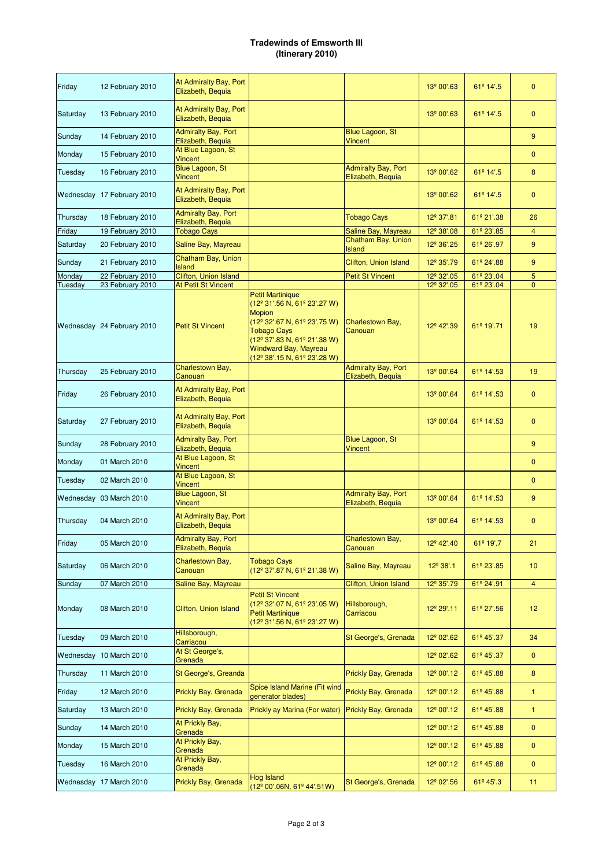## **Tradewinds of Emsworth III (Itinerary 2010)**

| Friday   | 12 February 2010           | At Admiralty Bay, Port<br>Elizabeth, Bequia                   |                                                                                                                                                                                                                                                                                             |                                                 | 13º 00'.63             | 61º 14'.5              | $\mathbf{0}$    |
|----------|----------------------------|---------------------------------------------------------------|---------------------------------------------------------------------------------------------------------------------------------------------------------------------------------------------------------------------------------------------------------------------------------------------|-------------------------------------------------|------------------------|------------------------|-----------------|
| Saturday | 13 February 2010           | At Admiralty Bay, Port<br>Elizabeth, Bequia                   |                                                                                                                                                                                                                                                                                             |                                                 | 13º 00'.63             | 61º 14'.5              | $\mathbf{0}$    |
| Sunday   | 14 February 2010           | <b>Admiralty Bay, Port</b><br>Elizabeth, Bequia               |                                                                                                                                                                                                                                                                                             | Blue Lagoon, St<br>Vincent                      |                        |                        | 9               |
| Monday   | 15 February 2010           | At Blue Lagoon, St<br><b>Vincent</b>                          |                                                                                                                                                                                                                                                                                             |                                                 |                        |                        | $\mathbf{0}$    |
| Tuesday  | 16 February 2010           | Blue Lagoon, St<br><b>Vincent</b>                             |                                                                                                                                                                                                                                                                                             | <b>Admiralty Bay, Port</b><br>Elizabeth, Bequia | 13º 00'.62             | 61º 14'.5              | 8               |
|          | Wednesday 17 February 2010 | At Admiralty Bay, Port<br>Elizabeth, Bequia                   |                                                                                                                                                                                                                                                                                             |                                                 | 13º 00'.62             | 61º 14'.5              | $\mathbf{0}$    |
| Thursday | 18 February 2010           | <b>Admiralty Bay, Port</b><br>Elizabeth, Bequia               |                                                                                                                                                                                                                                                                                             | <b>Tobago Cays</b>                              | 12 <sup>º</sup> 37'.81 | 61º 21'.38             | 26              |
| Friday   | 19 February 2010           | <b>Tobago Cays</b>                                            |                                                                                                                                                                                                                                                                                             | Saline Bay, Mayreau                             | 12 <sup>°</sup> 38'.08 | 61º 23'.85             | $\overline{4}$  |
| Saturday | 20 February 2010           | Saline Bay, Mayreau                                           |                                                                                                                                                                                                                                                                                             | Chatham Bay, Union<br>Island                    | 12 <sup>°</sup> 36'.25 | 61º 26'.97             | 9               |
| Sunday   | 21 February 2010           | Chatham Bay, Union<br><b>Island</b>                           |                                                                                                                                                                                                                                                                                             | Clifton, Union Island                           | 12 <sup>º</sup> 35'.79 | 61º 24'.88             | 9               |
| Monday   | 22 February 2010           | Clifton, Union Island                                         |                                                                                                                                                                                                                                                                                             | <b>Petit St Vincent</b>                         | 12 <sup>°</sup> 32'.05 | 61º 23'.04             | $\overline{5}$  |
| Tuesday  | 23 February 2010           | <b>At Petit St Vincent</b>                                    | <b>Petit Martinique</b>                                                                                                                                                                                                                                                                     |                                                 | 12 <sup>°</sup> 32'.05 | 61º 23'.04             | $\mathbf{0}$    |
|          | Wednesday 24 February 2010 | <b>Petit St Vincent</b>                                       | $(12^{\circ} 31'.56 N, 61^{\circ} 23'.27 W)$<br><b>Mopion</b><br>(12 <sup>°</sup> 32'.67 N, 61 <sup>°</sup> 23'.75 W)<br><b>Tobago Cays</b><br>(12 <sup>°</sup> 37'.83 N, 61 <sup>°</sup> 21'.38 W)<br><b>Windward Bay, Mayreau</b><br>(12 <sup>°</sup> 38'.15 N, 61 <sup>°</sup> 23'.28 W) | Charlestown Bay,<br>Canouan                     | 12º 42'.39             | 61º 19'.71             | 19              |
| Thursday | 25 February 2010           | Charlestown Bay,<br>Canouan                                   |                                                                                                                                                                                                                                                                                             | <b>Admiralty Bay, Port</b><br>Elizabeth, Bequia | 13º 00'.64             | 61º 14'.53             | 19              |
| Friday   | 26 February 2010           | At Admiralty Bay, Port<br>Elizabeth, Bequia                   |                                                                                                                                                                                                                                                                                             |                                                 | 13º 00'.64             | 61º 14'.53             | $\mathbf{0}$    |
| Saturday | 27 February 2010           | At Admiralty Bay, Port<br>Elizabeth, Bequia                   |                                                                                                                                                                                                                                                                                             |                                                 | 13º 00'.64             | 61º 14'.53             | $\mathbf{0}$    |
| Sunday   | 28 February 2010           | <b>Admiralty Bay, Port</b><br>Elizabeth, Bequia               |                                                                                                                                                                                                                                                                                             | Blue Lagoon, St<br><b>Vincent</b>               |                        |                        | 9               |
| Monday   | 01 March 2010              | At Blue Lagoon, St<br><b>Vincent</b>                          |                                                                                                                                                                                                                                                                                             |                                                 |                        |                        | $\mathbf{0}$    |
| Tuesday  | 02 March 2010              | At Blue Lagoon, St<br><b>Vincent</b>                          |                                                                                                                                                                                                                                                                                             |                                                 |                        |                        | $\mathbf{0}$    |
|          | Wednesday 03 March 2010    | Blue Lagoon, St                                               |                                                                                                                                                                                                                                                                                             | <b>Admiralty Bay, Port</b>                      | 13º 00'.64             | 61º 14'.53             | 9               |
| Thursday | 04 March 2010              | <b>Vincent</b><br>At Admiralty Bay, Port<br>Elizabeth, Bequia |                                                                                                                                                                                                                                                                                             | Elizabeth, Bequia                               | 13º 00'.64             | 61º 14'.53             | $\mathbf{0}$    |
| Friday   | 05 March 2010              | <b>Admiralty Bay, Port</b><br>Elizabeth, Bequia               |                                                                                                                                                                                                                                                                                             | Charlestown Bay,<br>Canouan                     | 12º 42'.40             | 61º 19'.7              | 21              |
| Saturday | 06 March 2010              | Charlestown Bay,<br>Canouan                                   | <b>Tobago Cays</b><br>(12 <sup>°</sup> 37'.87 N, 61 <sup>°</sup> 21'.38 W)                                                                                                                                                                                                                  | Saline Bay, Mayreau                             | $12^{\circ} 38'.1$     | 61º 23'.85             | 10 <sub>1</sub> |
| Sunday   | 07 March 2010              | Saline Bay, Mayreau                                           |                                                                                                                                                                                                                                                                                             | Clifton, Union Island                           | 12 <sup>°</sup> 35'.79 | 61º 24'.91             | $\overline{4}$  |
| Monday   | 08 March 2010              | Clifton, Union Island                                         | <b>Petit St Vincent</b><br>(12 <sup>°</sup> 32'.07 N, 61 <sup>°</sup> 23'.05 W)<br><b>Petit Martinique</b><br>(12º 31'.56 N, 61º 23'.27 W)                                                                                                                                                  | Hillsborough,<br>Carriacou                      | 12 <sup>º</sup> 29'.11 | 61º 27'.56             | 12 <sub>2</sub> |
| Tuesday  | 09 March 2010              | Hillsborough,<br>Carriacou                                    |                                                                                                                                                                                                                                                                                             | St George's, Grenada                            | 12 <sup>°</sup> 02'.62 | 61º 45'.37             | 34              |
|          | Wednesday 10 March 2010    | At St George's,<br>Grenada                                    |                                                                                                                                                                                                                                                                                             |                                                 | 12º 02'.62             | 61º 45'.37             | $\mathbf 0$     |
| Thursday | 11 March 2010              | St George's, Greanda                                          |                                                                                                                                                                                                                                                                                             | Prickly Bay, Grenada                            | 12º 00'.12             | 61º 45'.88             | 8               |
| Friday   | 12 March 2010              | Prickly Bay, Grenada                                          | Spice Island Marine (Fit wind<br>generator blades)                                                                                                                                                                                                                                          | Prickly Bay, Grenada                            | 12º 00'.12             | 61º 45'.88             | $\mathbf{1}$    |
| Saturday | 13 March 2010              | Prickly Bay, Grenada                                          | Prickly ay Marina (For water)                                                                                                                                                                                                                                                               | Prickly Bay, Grenada                            | 12º 00'.12             | 61 <sup>º</sup> 45'.88 | $\mathbf{1}$    |
| Sunday   | 14 March 2010              | At Prickly Bay,<br>Grenada                                    |                                                                                                                                                                                                                                                                                             |                                                 | 12º 00'.12             | 61º 45'.88             | $\mathbf{0}$    |
| Monday   | 15 March 2010              | At Prickly Bay,                                               |                                                                                                                                                                                                                                                                                             |                                                 | 12 <sup>º</sup> 00'.12 | 61 <sup>º</sup> 45'.88 | $\mathbf 0$     |
| Tuesday  | 16 March 2010              | Grenada<br>At Prickly Bay,                                    |                                                                                                                                                                                                                                                                                             |                                                 | 12º 00'.12             | 61º 45'.88             | $\mathbf 0$     |
|          | Wednesday 17 March 2010    | Grenada<br>Prickly Bay, Grenada                               | Hog Island                                                                                                                                                                                                                                                                                  | St George's, Grenada                            | 12º 02'.56             | 61º 45'.3              | 11 <sub>1</sub> |
|          |                            |                                                               | (12º 00'.06N, 61º 44'.51W)                                                                                                                                                                                                                                                                  |                                                 |                        |                        |                 |